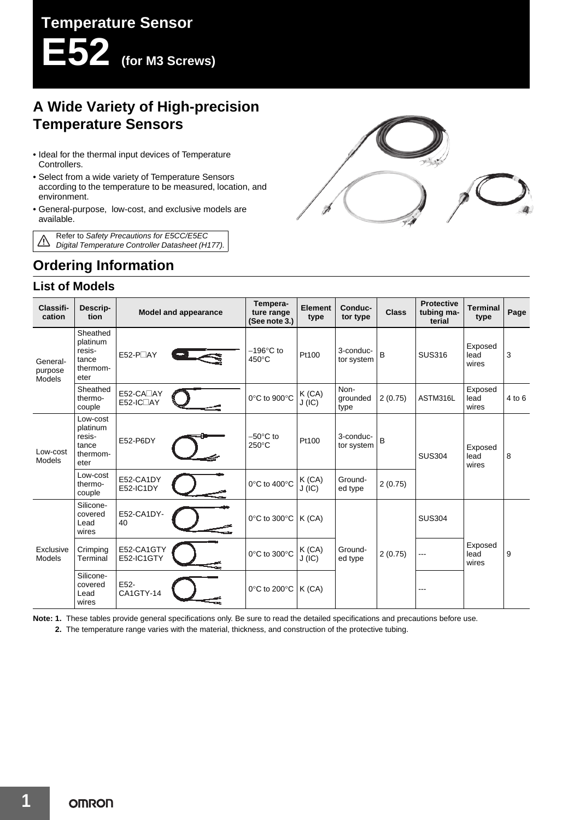

# **A Wide Variety of High-precision Temperature Sensors**

- Ideal for the thermal input devices of Temperature Controllers.
- Select from a wide variety of Temperature Sensors according to the temperature to be measured, location, and environment.
- General-purpose, low-cost, and exclusive models are available.

Refer to *Safety Precautions for E5CC/E5EC*  **Contract Controller Datasheet (H177).**<br>Digital Temperature Controller Datasheet (H177).

# **Ordering Information**

# **List of Models**



| Classifi-<br>cation           | Descrip-<br>tion                                            | <b>Model and appearance</b>         | Tempera-<br>ture range<br>(See note 3.) | <b>Element</b><br>type | Conduc-<br>tor type      | <b>Class</b> | <b>Protective</b><br>tubing ma-<br>terial | <b>Terminal</b><br>type  | Page       |
|-------------------------------|-------------------------------------------------------------|-------------------------------------|-----------------------------------------|------------------------|--------------------------|--------------|-------------------------------------------|--------------------------|------------|
| General-<br>purpose<br>Models | Sheathed<br>platinum<br>resis-<br>tance<br>thermom-<br>eter | E52-P <sub>DAY</sub>                | $-196^{\circ}$ C to<br>$450^{\circ}$ C  | Pt100                  | 3-conduc-<br>tor system  | B            | <b>SUS316</b>                             | Exposed<br>lead<br>wires | 3          |
|                               | Sheathed<br>thermo-<br>couple                               | E52-CA <sub>L</sub> AY<br>E52-IC□AY | $0^{\circ}$ C to 900 $^{\circ}$ C       | K (CA)<br>J(IC)        | Non-<br>arounded<br>type | 2(0.75)      | ASTM316L                                  | Exposed<br>lead<br>wires | $4$ to $6$ |
| Low-cost<br>Models            | Low-cost<br>platinum<br>resis-<br>tance<br>thermom-<br>eter | E52-P6DY                            | $-50^{\circ}$ C to<br>$250^{\circ}$ C   | Pt100                  | 3-conduc-<br>tor system  | B            | <b>SUS304</b>                             | Exposed<br>lead<br>wires | 8          |
|                               | Low-cost<br>thermo-<br>couple                               | E52-CA1DY<br>E52-IC1DY              | $0^{\circ}$ C to 400 $^{\circ}$ C       | $K$ (CA)<br>J(IC)      | Ground-<br>ed type       | 2(0.75)      |                                           |                          |            |
| Exclusive<br>Models           | Silicone-<br>covered<br>Lead<br>wires                       | E52-CA1DY-<br>40                    | $0^{\circ}$ C to 300 $^{\circ}$ C       | $K$ (CA)               |                          |              | <b>SUS304</b><br>---                      |                          |            |
|                               | Crimping<br>Terminal                                        | E52-CA1GTY<br>E52-IC1GTY            | 0°C to 300°C                            | K (CA)<br>J(IC)        | Ground-<br>ed type       | 2(0.75)      |                                           | Exposed<br>lead<br>wires | 9          |
|                               | Silicone-<br>covered<br>Lead<br>wires                       | E <sub>52</sub> -<br>CA1GTY-14      | $0^{\circ}$ C to 200 $^{\circ}$ C       | $K$ (CA)               |                          |              | ---                                       |                          |            |

**Note: 1.** These tables provide general specifications only. Be sure to read the detailed specifications and precautions before use.

**2.** The temperature range varies with the material, thickness, and construction of the protective tubing.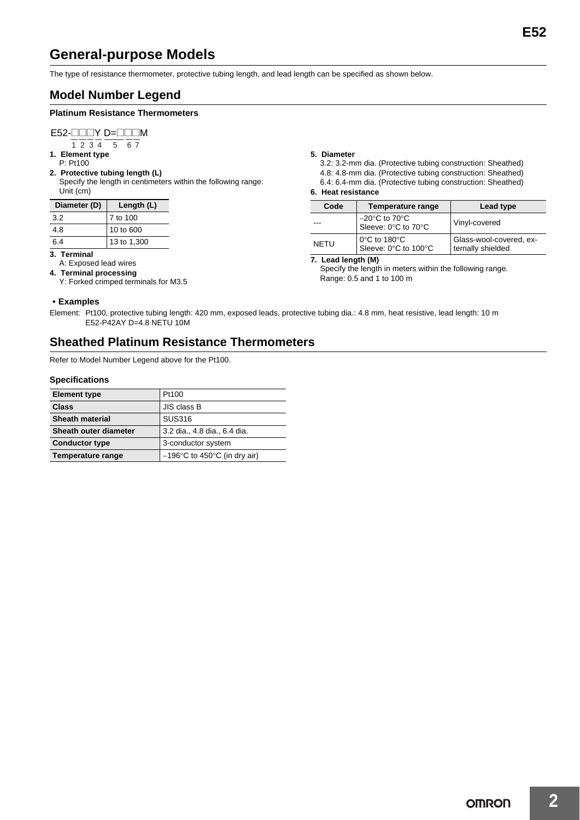# **General-purpose Models**

The type of resistance thermometer, protective tubing length, and lead length can be specified as shown below.

# **Model Number Legend**

# **Platinum Resistance Thermometers**

#### E52-**DOOY D=DOOM**

 $\frac{1}{1}$   $\frac{1}{2}$   $\frac{1}{3}$   $\frac{1}{4}$   $\frac{1}{5}$   $\frac{1}{6}$   $\frac{1}{7}$ 

**1. Element type** P: Pt100

#### **2. Protective tubing length (L)**

Specify the length in centimeters within the following range: Unit (cm)

| Diameter (D) | Length (L)  |
|--------------|-------------|
| 3.2          | 7 to 100    |
| 4.8          | 10 to 600   |
| 6.4          | 13 to 1,300 |

**3. Terminal**

#### A: Exposed lead wires

**4. Terminal processing**

Y: Forked crimped terminals for M3.5

#### **5. Diameter**

3.2: 3.2-mm dia. (Protective tubing construction: Sheathed) 4.8: 4.8-mm dia. (Protective tubing construction: Sheathed) 6.4: 6.4-mm dia. (Protective tubing construction: Sheathed)

**6. Heat resistance**

| Code | <b>Temperature range</b>                                  | Lead type                                    |  |  |
|------|-----------------------------------------------------------|----------------------------------------------|--|--|
|      | $-20^{\circ}$ C to 70 $^{\circ}$ C<br>Sleeve: 0°C to 70°C | Vinyl-covered                                |  |  |
| NFTU | $0^{\circ}$ C to 180 $^{\circ}$ C<br>Sleeve: 0°C to 100°C | Glass-wool-covered, ex-<br>ternally shielded |  |  |

**<sup>7.</sup> Lead length (M)**

Specify the length in meters within the following range. Range: 0.5 and 1 to 100 m

#### **• Examples**

Element: Pt100, protective tubing length: 420 mm, exposed leads, protective tubing dia.: 4.8 mm, heat resistive, lead length: 10 m E52-P42AY D=4.8 NETU 10M

# **Sheathed Platinum Resistance Thermometers**

Refer to Model Number Legend above for the Pt100.

#### **Specifications**

| <b>Element type</b>    | Pt100                                             |
|------------------------|---------------------------------------------------|
| <b>Class</b>           | JIS class B                                       |
| <b>Sheath material</b> | <b>SUS316</b>                                     |
| Sheath outer diameter  | 3.2 dia., 4.8 dia., 6.4 dia.                      |
| <b>Conductor type</b>  | 3-conductor system                                |
| Temperature range      | $-196^{\circ}$ C to 450 $^{\circ}$ C (in dry air) |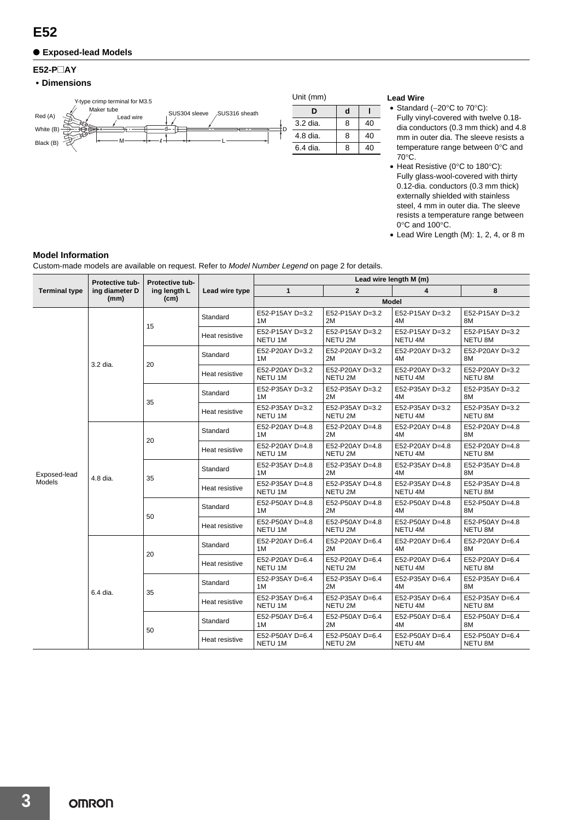# ● **Exposed-lead Models**

# **E52-P**@**AY**

# **• Dimensions**



- Standard (−20°C to 70°C): Fully vinyl-covered with twelve 0.18 dia conductors (0.3 mm thick) and 4.8 mm in outer dia. The sleeve resists a temperature range between 0°C and
- Heat Resistive (0°C to 180°C): Fully glass-wool-covered with thirty 0.12-dia. conductors (0.3 mm thick) externally shielded with stainless steel, 4 mm in outer dia. The sleeve resists a temperature range between 0°C and 100°C.
- Lead Wire Length (M): 1, 2, 4, or 8 m

# **Model Information**

Custom-made models are available on request. Refer to *Model Number Legend* on page 2 for details.

|                      | Protective tub- | <b>Protective tub-</b><br>ing length L<br>(cm) | Lead wire type | Lead wire length M (m)            |                                   |                                   |                                   |  |
|----------------------|-----------------|------------------------------------------------|----------------|-----------------------------------|-----------------------------------|-----------------------------------|-----------------------------------|--|
| <b>Terminal type</b> | ing diameter D  |                                                |                | $\mathbf{1}$                      | $\overline{2}$                    | 4                                 | 8                                 |  |
|                      | (mm)            |                                                |                | <b>Model</b>                      |                                   |                                   |                                   |  |
|                      |                 | 15                                             | Standard       | E52-P15AY D=3.2<br>1M             | E52-P15AY D=3.2<br>2M             | E52-P15AY D=3.2<br>4M             | E52-P15AY D=3.2<br>8M             |  |
|                      |                 |                                                | Heat resistive | E52-P15AY D=3.2<br>NETU 1M        | E52-P15AY D=3.2<br>NETU 2M        | E52-P15AY D=3.2<br><b>NETU 4M</b> | E52-P15AY D=3.2<br><b>NETU 8M</b> |  |
|                      | 3.2 dia.        | 20                                             | Standard       | E52-P20AY D=3.2<br>1M             | E52-P20AY D=3.2<br>2M             | E52-P20AY D=3.2<br>4M             | E52-P20AY D=3.2<br>8M             |  |
|                      |                 |                                                | Heat resistive | E52-P20AY D=3.2<br>NETU 1M        | E52-P20AY D=3.2<br><b>NETU 2M</b> | E52-P20AY D=3.2<br><b>NETU 4M</b> | E52-P20AY D=3.2<br>NETU 8M        |  |
|                      |                 |                                                | Standard       | E52-P35AY D=3.2<br>1M             | E52-P35AY D=3.2<br>2M             | E52-P35AY D=3.2<br>4M             | E52-P35AY D=3.2<br>8M             |  |
|                      |                 | 35                                             | Heat resistive | E52-P35AY D=3.2<br>NETU 1M        | E52-P35AY D=3.2<br>NETU 2M        | E52-P35AY D=3.2<br><b>NETU 4M</b> | E52-P35AY D=3.2<br><b>NETU 8M</b> |  |
|                      | 4.8 dia.        | 20                                             | Standard       | E52-P20AY D=4.8<br>1 M            | E52-P20AY D=4.8<br>2M             | E52-P20AY D=4.8<br>4M             | E52-P20AY D=4.8<br>8M             |  |
|                      |                 |                                                | Heat resistive | E52-P20AY D=4.8<br>NETU 1M        | E52-P20AY D=4.8<br>NETU 2M        | E52-P20AY D=4.8<br><b>NETU 4M</b> | E52-P20AY D=4.8<br>NETU 8M        |  |
| Exposed-lead         |                 | 35                                             | Standard       | E52-P35AY D=4.8<br>1M             | E52-P35AY D=4.8<br>2M             | E52-P35AY D=4.8<br>4M             | E52-P35AY D=4.8<br>8M             |  |
| Models               |                 |                                                | Heat resistive | E52-P35AY D=4.8<br>NETU 1M        | E52-P35AY D=4.8<br>NETU 2M        | E52-P35AY D=4.8<br><b>NETU 4M</b> | E52-P35AY D=4.8<br>NETU 8M        |  |
|                      |                 | 50                                             | Standard       | E52-P50AY D=4.8<br>1M             | E52-P50AY D=4.8<br>2M             | E52-P50AY D=4.8<br>4M             | E52-P50AY D=4.8<br>8M             |  |
|                      |                 |                                                | Heat resistive | E52-P50AY D=4.8<br>NETU 1M        | E52-P50AY D=4.8<br>NETU 2M        | E52-P50AY D=4.8<br>NETU 4M        | E52-P50AY D=4.8<br>NETU 8M        |  |
|                      |                 | 20                                             | Standard       | E52-P20AY D=6.4<br>1M             | E52-P20AY D=6.4<br>2M             | E52-P20AY D=6.4<br>4M             | E52-P20AY D=6.4<br>8M             |  |
|                      |                 |                                                | Heat resistive | E52-P20AY D=6.4<br>NETU 1M        | E52-P20AY D=6.4<br><b>NETU 2M</b> | E52-P20AY D=6.4<br><b>NETU 4M</b> | E52-P20AY D=6.4<br><b>NETU 8M</b> |  |
|                      |                 | 35                                             | Standard       | E52-P35AY D=6.4<br>1M             | E52-P35AY D=6.4<br>2M             | E52-P35AY D=6.4<br>4M             | E52-P35AY D=6.4<br>8M             |  |
|                      | 6.4 dia.        |                                                | Heat resistive | E52-P35AY D=6.4<br><b>NETU 1M</b> | E52-P35AY D=6.4<br>NETU 2M        | E52-P35AY D=6.4<br><b>NETU 4M</b> | E52-P35AY D=6.4<br><b>NETU 8M</b> |  |
|                      |                 | 50                                             | Standard       | E52-P50AY D=6.4<br>1M             | E52-P50AY D=6.4<br>2M             | E52-P50AY D=6.4<br>4M             | E52-P50AY D=6.4<br>8M             |  |
|                      |                 |                                                | Heat resistive | E52-P50AY D=6.4<br>NETU 1M        | E52-P50AY D=6.4<br>NETU 2M        | E52-P50AY D=6.4<br><b>NETU 4M</b> | E52-P50AY D=6.4<br><b>NETU 8M</b> |  |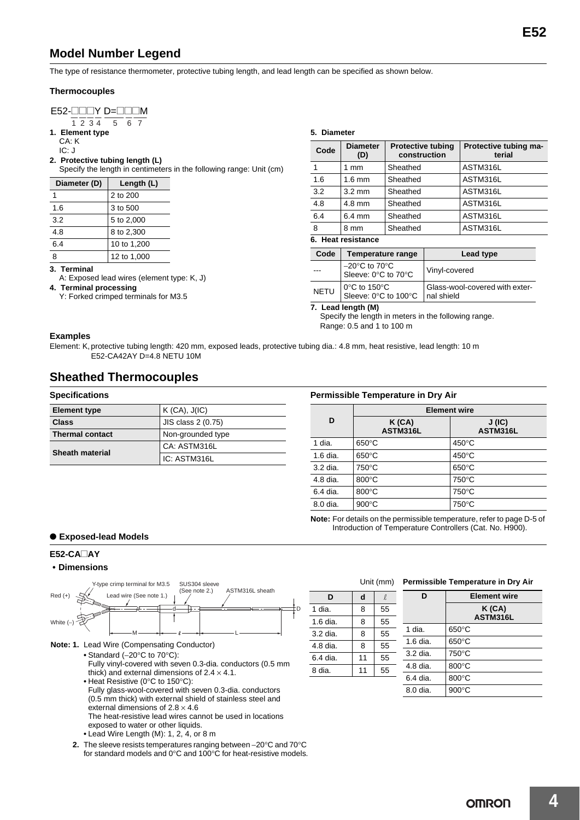# **Model Number Legend**

The type of resistance thermometer, protective tubing length, and lead length can be specified as shown below.

#### **Thermocouples**

- $\frac{1}{1}$   $\frac{1}{2}$   $\frac{1}{3}$   $\frac{1}{4}$   $\frac{1}{5}$   $\frac{1}{6}$   $\frac{1}{7}$
- **1. Element type** CA: K
- IC: J
- **2. Protective tubing length (L)**

Specify the length in centimeters in the following range: Unit (cm)

| Diameter (D) | Length (L)  |
|--------------|-------------|
|              | 2 to 200    |
| 1.6          | 3 to 500    |
| 3.2          | 5 to 2,000  |
| 4.8          | 8 to 2,300  |
| 6.4          | 10 to 1,200 |
| ጸ            | 12 to 1,000 |

#### **3. Terminal**

A: Exposed lead wires (element type: K, J)

**4. Terminal processing**

Y: Forked crimped terminals for M3.5

**5. Diameter**

| Code        | <b>Diameter</b><br>(D)                                    | <b>Protective tubing</b><br>construction |               | Protective tubing ma-<br>terial |  |  |  |  |
|-------------|-----------------------------------------------------------|------------------------------------------|---------------|---------------------------------|--|--|--|--|
| 1           | 1 mm                                                      | Sheathed                                 |               | ASTM316L                        |  |  |  |  |
| 1.6         | $1.6 \text{ mm}$                                          | Sheathed                                 |               | ASTM316L                        |  |  |  |  |
| 3.2         | $3.2 \text{ mm}$                                          | Sheathed                                 |               | ASTM316L                        |  |  |  |  |
| 4.8         | 4.8 mm                                                    | Sheathed                                 |               | ASTM316L                        |  |  |  |  |
| 6.4         | $6.4 \text{ mm}$                                          | Sheathed                                 |               | ASTM316L                        |  |  |  |  |
| 8           | 8 mm                                                      | Sheathed                                 |               | ASTM316L                        |  |  |  |  |
|             | 6. Heat resistance                                        |                                          |               |                                 |  |  |  |  |
| Code        | Temperature range                                         |                                          |               | Lead type                       |  |  |  |  |
|             | $-20^{\circ}$ C to 70 $^{\circ}$ C<br>Sleeve: 0°C to 70°C |                                          | Vinyl-covered |                                 |  |  |  |  |
| <b>NETU</b> | $0^{\circ}$ C to 150 $^{\circ}$ C<br>Sleeve: 0°C to 100°C |                                          | nal shield    | Glass-wool-covered with exter-  |  |  |  |  |
|             | 7. Lead length (M)                                        |                                          |               |                                 |  |  |  |  |

 $1$  dia.  $1.6$  dia. 3.2 dia.  $\overline{4.8}$  dia. 6.4 dia. 8 dia.

Specify the length in meters in the following range. Range: 0.5 and 1 to 100 m

#### **Examples**

Element: K, protective tubing length: 420 mm, exposed leads, protective tubing dia.: 4.8 mm, heat resistive, lead length: 10 m E52-CA42AY D=4.8 NETU 10M

# **Sheathed Thermocouples**

| <b>Element type</b>    | $K$ (CA), $J(IC)$  |  |  |
|------------------------|--------------------|--|--|
| <b>Class</b>           | JIS class 2 (0.75) |  |  |
| <b>Thermal contact</b> | Non-grounded type  |  |  |
| <b>Sheath material</b> | CA: ASTM316L       |  |  |
|                        | IC: ASTM316L       |  |  |

#### **Specifications Permissible Temperature in Dry Air**

|          | <b>Element wire</b> |                   |  |  |  |  |  |
|----------|---------------------|-------------------|--|--|--|--|--|
| D        | K(CA)<br>ASTM316L   | J(IC)<br>ASTM316L |  |  |  |  |  |
| 1 dia.   | $650^{\circ}$ C     | $450^{\circ}$ C   |  |  |  |  |  |
| 1.6 dia. | $650^{\circ}$ C     | 450°C             |  |  |  |  |  |
| 3.2 dia. | 750°C               | $650^{\circ}$ C   |  |  |  |  |  |
| 4.8 dia. | 800°C               | 750°C             |  |  |  |  |  |
| 6.4 dia. | 800°C               | 750°C             |  |  |  |  |  |
| 8.0 dia. | $900^{\circ}$ C     | 750°C             |  |  |  |  |  |

**Note:** For details on the permissible temperature, refer to page D-5 of Introduction of Temperature Controllers (Cat. No. H900).

#### ● **Exposed-lead Models**

#### **E52-CA**@**AY**

#### **• Dimensions**



**•** Standard (−20°C to 70°C): Fully vinyl-covered with seven 0.3-dia. conductors (0.5 mm

- thick) and external dimensions of  $2.4 \times 4.1$ .
- **•** Heat Resistive (0°C to 150°C): Fully glass-wool-covered with seven 0.3-dia. conductors
- (0.5 mm thick) with external shield of stainless steel and external dimensions of  $2.8 \times 4.6$
- The heat-resistive lead wires cannot be used in locations exposed to water or other liquids.
- **•** Lead Wire Length (M): 1, 2, 4, or 8 m

#### Unit (mm) **Permissible Temperature in Dry Air**

| D    | d  | l  | D        | <b>Element wire</b> |
|------|----|----|----------|---------------------|
| ì.   | 8  | 55 |          | K(CA)               |
| lia. | 8  | 55 |          | ASTM316L            |
| lia. | 8  | 55 | 1 dia.   | $650^{\circ}$ C     |
| lia. | 8  | 55 | 1.6 dia. | $650^{\circ}$ C     |
| lia. | 11 | 55 | 3.2 dia. | 750°C               |
|      |    |    | 4.8 dia. | 800°C               |
| ι.   | 11 | 55 |          |                     |
|      |    |    | 6.4 dia. | $800^{\circ}$ C     |
|      |    |    | 8.0 dia. | $900^{\circ}$ C     |

**<sup>2.</sup>** The sleeve resists temperatures ranging between −20°C and 70°C for standard models and 0°C and 100°C for heat-resistive models.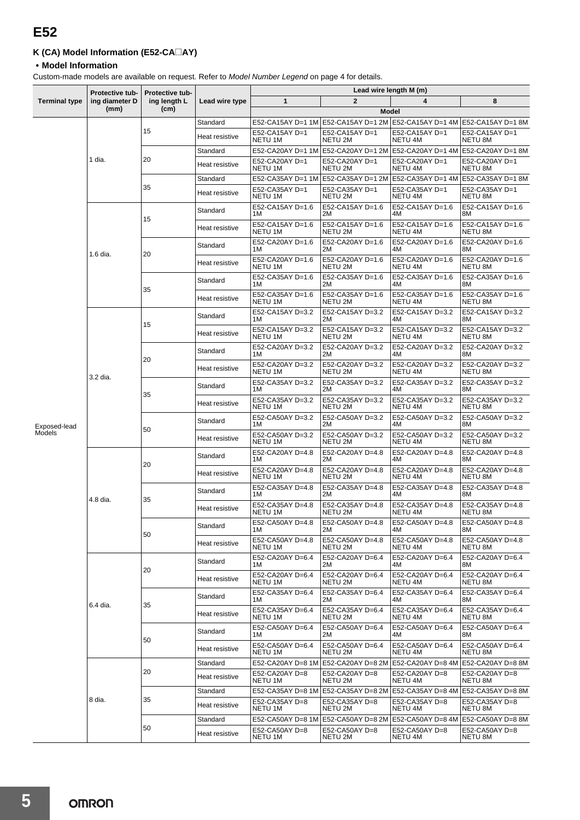# **K (CA) Model Information (E52-CA**@**AY)**

# **• Model Information**

Custom-made models are available on request. Refer to *Model Number Legend* on page 4 for details.

|                      | Protective tub-<br>ing diameter D<br>(mm) | <b>Protective tub-</b><br>ing length L<br>(cm) | Lead wire type | Lead wire length M (m)              |                                                       |                                     |                                     |  |
|----------------------|-------------------------------------------|------------------------------------------------|----------------|-------------------------------------|-------------------------------------------------------|-------------------------------------|-------------------------------------|--|
| <b>Terminal type</b> |                                           |                                                |                | 1                                   | $\mathbf{2}$<br><b>Model</b>                          | 4                                   | 8                                   |  |
|                      |                                           |                                                | Standard       |                                     | E52-CA15AY D=1 1M E52-CA15AY D=1 2M                   | E52-CA15AY D=1 4M                   | E52-CA15AY D=1 8M                   |  |
|                      |                                           | 15                                             | Heat resistive | E52-CA15AY D=1<br>NETU 1M           | E52-CA15AY D=1<br>NETU 2M                             | E52-CA15AY D=1<br>NETU 4M           | E52-CA15AY D=1<br>NETU 8M           |  |
|                      |                                           |                                                | Standard       | E52-CA20AY D=1 1M E52-CA20AY D=1 2M |                                                       | E52-CA20AY D=1 4M                   | E52-CA20AY D=18M                    |  |
|                      | 1 dia.                                    | 20                                             | Heat resistive | E52-CA20AY D=1<br>NETU 1M           | E52-CA20AY D=1<br>NETU 2M                             | E52-CA20AY D=1<br>NETU 4M           | E52-CA20AY D=1<br>NETU 8M           |  |
|                      |                                           |                                                | Standard       | E52-CA35AY D=1 1M                   | E52-CA35AY D=1 2M                                     | E52-CA35AY D=1 4M                   | E52-CA35AY D=1 8M                   |  |
|                      |                                           | 35                                             | Heat resistive | E52-CA35AY D=1<br><b>NETU 1M</b>    | E52-CA35AY D=1<br><b>NETU 2M</b>                      | E52-CA35AY D=1<br>NETU 4M           | E52-CA35AY D=1<br><b>NETU 8M</b>    |  |
|                      |                                           | 15                                             | Standard       | E52-CA15AY D=1.6<br>1M              | E52-CA15AY D=1.6<br>2M                                | E52-CA15AY D=1.6<br>4M              | E52-CA15AY D=1.6<br>8M              |  |
|                      |                                           |                                                | Heat resistive | E52-CA15AY D=1.6<br><b>NETU 1M</b>  | E52-CA15AY D=1.6<br><b>NETU 2M</b>                    | E52-CA15AY D=1.6<br>NETU 4M         | E52-CA15AY D=1.6<br>NETU 8M         |  |
|                      | 1.6 dia.                                  | 20                                             | Standard       | E52-CA20AY D=1.6<br>1M              | E52-CA20AY D=1.6<br>2M                                | E52-CA20AY D=1.6<br>4M              | E52-CA20AY D=1.6<br>8M              |  |
|                      |                                           |                                                | Heat resistive | E52-CA20AY D=1.6<br><b>NETU 1M</b>  | E52-CA20AY D=1.6<br><b>NETU 2M</b>                    | E52-CA20AY D=1.6<br><b>NETU 4M</b>  | E52-CA20AY D=1.6<br>NETU 8M         |  |
|                      |                                           | 35                                             | Standard       | E52-CA35AY D=1.6<br>1M              | E52-CA35AY D=1.6<br>2M                                | E52-CA35AY D=1.6<br>4M              | E52-CA35AY D=1.6<br>8M              |  |
|                      |                                           |                                                | Heat resistive | E52-CA35AY D=1.6<br><b>NETU 1M</b>  | E52-CA35AY D=1.6<br><b>NETU 2M</b>                    | E52-CA35AY D=1.6<br><b>NETU 4M</b>  | E52-CA35AY D=1.6<br>NETU 8M         |  |
|                      |                                           | 15                                             | Standard       | E52-CA15AY D=3.2<br>1M              | E52-CA15AY D=3.2<br>2M                                | E52-CA15AY D=3.2<br>4M              | E52-CA15AY D=3.2<br>8M              |  |
|                      |                                           |                                                | Heat resistive | E52-CA15AY D=3.2<br><b>NETU 1M</b>  | E52-CA15AY D=3.2<br><b>NETU 2M</b>                    | E52-CA15AY D=3.2<br><b>NETU 4M</b>  | E52-CA15AY D=3.2<br>NETU 8M         |  |
|                      |                                           | 20                                             | Standard       | E52-CA20AY D=3.2<br>1M              | E52-CA20AY D=3.2<br>2M                                | E52-CA20AY D=3.2<br>4M              | E52-CA20AY D=3.2<br>8M              |  |
|                      | 3.2 dia.                                  |                                                | Heat resistive | E52-CA20AY D=3.2<br><b>NETU 1M</b>  | E52-CA20AY D=3.2<br><b>NETU 2M</b>                    | E52-CA20AY D=3.2<br><b>NETU 4M</b>  | E52-CA20AY D=3.2<br>NETU 8M         |  |
|                      |                                           | 35                                             | Standard       | E52-CA35AY D=3.2<br>1M              | E52-CA35AY D=3.2<br>2M                                | E52-CA35AY D=3.2<br>4M              | E52-CA35AY D=3.2<br>8M              |  |
|                      |                                           |                                                | Heat resistive | E52-CA35AY D=3.2<br>NETU 1M         | E52-CA35AY D=3.2<br><b>NETU 2M</b>                    | E52-CA35AY D=3.2<br><b>NETU 4M</b>  | E52-CA35AY D=3.2<br>NETU 8M         |  |
| Exposed-lead         |                                           | 50                                             | Standard       | E52-CA50AY D=3.2<br>1M              | E52-CA50AY D=3.2<br>2M                                | E52-CA50AY D=3.2<br>4M              | E52-CA50AY D=3.2<br>8M              |  |
| Models               |                                           |                                                | Heat resistive | E52-CA50AY D=3.2<br>NETU 1M         | E52-CA50AY D=3.2<br><b>NETU 2M</b>                    | E52-CA50AY D=3.2<br><b>NETU 4M</b>  | E52-CA50AY D=3.2<br>NETU 8M         |  |
|                      | 4.8 dia.                                  | 20                                             | Standard       | E52-CA20AY D=4.8<br>1M              | E52-CA20AY D=4.8<br>2M                                | E52-CA20AY D=4.8<br>4M              | E52-CA20AY D=4.8<br>8M              |  |
|                      |                                           |                                                | Heat resistive | E52-CA20AY D=4.8<br><b>NETU 1M</b>  | E52-CA20AY D=4.8<br><b>NETU 2M</b>                    | E52-CA20AY D=4.8<br>NETU 4M         | E52-CA20AY D=4.8<br>NETU 8M         |  |
|                      |                                           | 35                                             | Standard       | E52-CA35AY D=4.8<br>1M              | E52-CA35AY D=4.8<br>2M                                | E52-CA35AY D=4.8<br>4M              | E52-CA35AY D=4.8<br>8М              |  |
|                      |                                           |                                                | Heat resistive | E52-CA35AY D=4.8<br>NETU 1M         | E52-CA35AY D=4.8<br>NETU 2M                           | E52-CA35AY D=4.8<br><b>NETU 4M</b>  | E52-CA35AY D=4.8<br>NETU 8M         |  |
|                      |                                           | 50                                             | Standard       | E52-CA50AY D=4.8<br>1M              | E52-CA50AY D=4.8<br>2M                                | E52-CA50AY D=4.8<br>4M              | E52-CA50AY D=4.8<br>8M              |  |
|                      |                                           |                                                | Heat resistive | E52-CA50AY D=4.8<br>NETU 1M         | E52-CA50AY D=4.8<br>NETU 2M                           | E52-CA50AY D=4.8<br>NETU 4M         | E52-CA50AY D=4.8<br>NETU 8M         |  |
|                      |                                           | 20                                             | Standard       | E52-CA20AY D=6.4<br>1M              | E52-CA20AY D=6.4<br>2M                                | E52-CA20AY D=6.4<br>4M              | E52-CA20AY D=6.4<br>8M              |  |
|                      |                                           |                                                | Heat resistive | E52-CA20AY D=6.4<br>NETU 1M         | E52-CA20AY D=6.4<br>NETU 2M                           | E52-CA20AY D=6.4<br>NETU 4M         | E52-CA20AY D=6.4<br>NETU 8M         |  |
|                      | 6.4 dia.                                  | 35                                             | Standard       | E52-CA35AY D=6.4<br>1M              | E52-CA35AY D=6.4<br>2M                                | E52-CA35AY D=6.4<br>4M              | E52-CA35AY D=6.4<br>8M              |  |
|                      |                                           |                                                | Heat resistive | E52-CA35AY D=6.4<br>NETU 1M         | E52-CA35AY D=6.4<br><b>NETU 2M</b>                    | E52-CA35AY D=6.4<br>NETU 4M         | E52-CA35AY D=6.4<br><b>NETU 8M</b>  |  |
|                      |                                           | 50                                             | Standard       | E52-CA50AY D=6.4<br>1M              | E52-CA50AY D=6.4<br>2M                                | E52-CA50AY D=6.4<br>4M              | E52-CA50AY D=6.4<br>8M              |  |
|                      |                                           |                                                | Heat resistive | E52-CA50AY D=6.4<br><b>NETU 1M</b>  | E52-CA50AY D=6.4<br>NETU 2M                           | E52-CA50AY D=6.4<br>NETU 4M         | E52-CA50AY D=6.4<br>NETU 8M         |  |
|                      |                                           | 20                                             | Standard       | E52-CA20AY D=8 1M                   | E52-CA20AY D=8 2M                                     | E52-CA20AY D=8 4M                   | E52-CA20AY D=8 8M                   |  |
|                      |                                           |                                                | Heat resistive | E52-CA20AY D=8<br>NETU 1M           | E52-CA20AY D=8<br>NETU 2M                             | E52-CA20AY D=8<br>NETU 4M           | E52-CA20AY D=8<br>NETU 8M           |  |
|                      | 8 dia.                                    | 35                                             | Standard       |                                     | E52-CA35AY D=8 1M E52-CA35AY D=8 2M E52-CA35AY D=8 4M |                                     | E52-CA35AY D=8 8M                   |  |
|                      |                                           |                                                | Heat resistive | E52-CA35AY D=8<br>NETU 1M           | E52-CA35AY D=8<br>NETU 2M                             | E52-CA35AY D=8<br>NETU 4M           | E52-CA35AY D=8<br>NETU 8M           |  |
|                      |                                           | 50                                             | Standard       | E52-CA50AY D=8 1M<br>E52-CA50AY D=8 | E52-CA50AY D=8 2M<br>E52-CA50AY D=8                   | E52-CA50AY D=8 4M<br>E52-CA50AY D=8 | E52-CA50AY D=8 8M<br>E52-CA50AY D=8 |  |
|                      |                                           |                                                | Heat resistive | NETU 1M                             | NETU 2M                                               | NETU 4M                             | NETU 8M                             |  |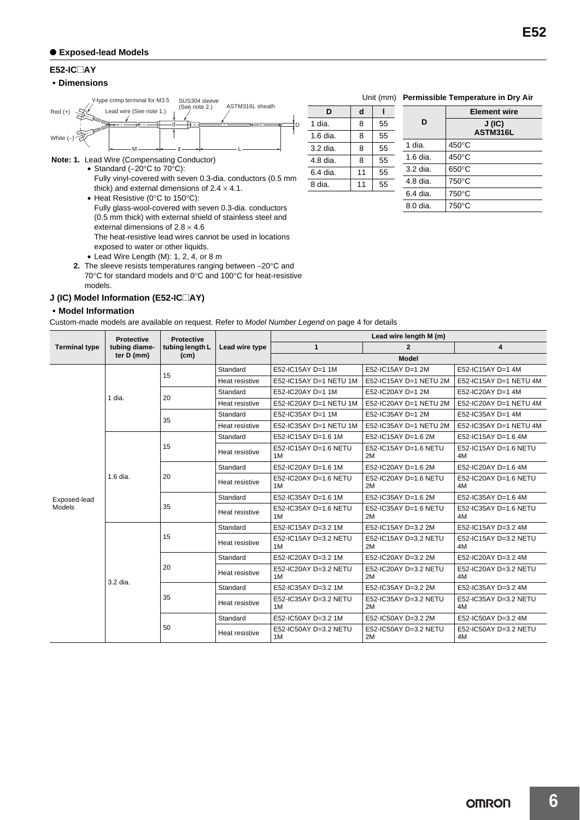# ● **Exposed-lead Models**

### **E52-IC**@**AY**

#### **• Dimensions**



**Note: 1.** Lead Wire (Compensating Conductor) • Standard (−20°C to 70°C): Fully vinyl-covered with seven 0.3-dia. conductors (0.5 mm

thick) and external dimensions of  $2.4 \times 4.1$ .

• Heat Resistive (0°C to 150°C):

Fully glass-wool-covered with seven 0.3-dia. conductors (0.5 mm thick) with external shield of stainless steel and external dimensions of  $2.8 \times 4.6$ 

The heat-resistive lead wires cannot be used in locations exposed to water or other liquids.

• Lead Wire Length (M): 1, 2, 4, or 8 m

**2.** The sleeve resists temperatures ranging between −20°C and 70°C for standard models and 0°C and 100°C for heat-resistive models.

### **J (IC) Model Information (E52-IC** $\Box$ **AY)**

#### **• Model Information**

Custom-made models are available on request. Refer to *Model Number Legend* on page 4 for details

|                        | <b>Protective</b><br>tubing diame- | <b>Protective</b><br>tubing length L | Lead wire type | Lead wire length M (m)      |                             |                             |  |
|------------------------|------------------------------------|--------------------------------------|----------------|-----------------------------|-----------------------------|-----------------------------|--|
| <b>Terminal type</b>   |                                    |                                      |                | $\mathbf{1}$                | $\overline{2}$              | $\overline{\mathbf{4}}$     |  |
| ter D (mm)             |                                    | (cm)                                 |                |                             | <b>Model</b>                |                             |  |
|                        |                                    | 15                                   | Standard       | E52-IC15AY D=1 1M           | E52-IC15AY D=1 2M           | E52-IC15AY D=1 4M           |  |
|                        |                                    |                                      | Heat resistive | E52-IC15AY D=1 NETU 1M      | E52-IC15AY D=1 NETU 2M      | E52-IC15AY D=1 NETU 4M      |  |
|                        | 1 dia.                             | 20                                   | Standard       | E52-IC20AY D=1 1M           | E52-IC20AY D=1 2M           | E52-IC20AY D=1 4M           |  |
|                        |                                    |                                      | Heat resistive | E52-IC20AY D=1 NETU 1M      | E52-IC20AY D=1 NETU 2M      | E52-IC20AY D=1 NETU 4M      |  |
|                        |                                    | 35                                   | Standard       | E52-IC35AY D=1 1M           | E52-IC35AY D=1 2M           | E52-IC35AY D=1 4M           |  |
|                        |                                    |                                      | Heat resistive | E52-IC35AY D=1 NETU 1M      | E52-IC35AY D=1 NETU 2M      | E52-IC35AY D=1 NETU 4M      |  |
|                        |                                    |                                      | Standard       | E52-IC15AY D=1.6 1M         | E52-IC15AY D=1.6 2M         | E52-IC15AY D=1.6 4M         |  |
| Exposed-lead<br>Models | 1.6 dia.                           | 15                                   | Heat resistive | E52-IC15AY D=1.6 NETU<br>1M | E52-IC15AY D=1.6 NETU<br>2M | E52-IC15AY D=1.6 NETU<br>4M |  |
|                        |                                    | 20                                   | Standard       | E52-IC20AY D=1.6 1M         | E52-IC20AY D=1.6 2M         | E52-IC20AY D=1.6 4M         |  |
|                        |                                    |                                      | Heat resistive | E52-IC20AY D=1.6 NETU<br>1M | E52-IC20AY D=1.6 NETU<br>2M | E52-IC20AY D=1.6 NETU<br>4M |  |
|                        |                                    | 35                                   | Standard       | E52-IC35AY D=1.6 1M         | E52-IC35AY D=1.6 2M         | E52-IC35AY D=1.6 4M         |  |
|                        |                                    |                                      | Heat resistive | E52-IC35AY D=1.6 NETU<br>1M | E52-IC35AY D=1.6 NETU<br>2M | E52-IC35AY D=1.6 NETU<br>4M |  |
|                        | 3.2 dia.                           | 15                                   | Standard       | E52-IC15AY D=3.2 1M         | E52-IC15AY D=3.2 2M         | E52-IC15AY D=3.2 4M         |  |
|                        |                                    |                                      | Heat resistive | E52-IC15AY D=3.2 NETU<br>1M | E52-IC15AY D=3.2 NETU<br>2M | E52-IC15AY D=3.2 NETU<br>4M |  |
|                        |                                    | 20                                   | Standard       | E52-IC20AY D=3.2 1M         | E52-IC20AY D=3.2 2M         | E52-IC20AY D=3.2 4M         |  |
|                        |                                    |                                      | Heat resistive | E52-IC20AY D=3.2 NETU<br>1M | E52-IC20AY D=3.2 NETU<br>2M | E52-IC20AY D=3.2 NETU<br>4M |  |
|                        |                                    | 35                                   | Standard       | E52-IC35AY D=3.2 1M         | E52-IC35AY D=3.2 2M         | E52-IC35AY D=3.2 4M         |  |
|                        |                                    |                                      | Heat resistive | E52-IC35AY D=3.2 NETU<br>1M | E52-IC35AY D=3.2 NETU<br>2M | E52-IC35AY D=3.2 NETU<br>4M |  |
|                        |                                    |                                      | Standard       | E52-IC50AY D=3.2 1M         | E52-IC50AY D=3.2 2M         | E52-IC50AY D=3.2 4M         |  |
|                        |                                    | 50                                   | Heat resistive | E52-IC50AY D=3.2 NETU<br>1M | E52-IC50AY D=3.2 NETU<br>2M | E52-IC50AY D=3.2 NETU<br>4M |  |

D

#### Unit (mm) **Permissible Temperature in Dry Air**

| D        | d  |    |          | <b>Element wire</b> |
|----------|----|----|----------|---------------------|
| 1 dia.   | 8  | 55 | D        | J(IC)               |
| 1.6 dia. | 8  | 55 |          | ASTM316L            |
| 3.2 dia. | 8  | 55 | 1 dia.   | 450°C               |
| 4.8 dia. | 8  | 55 | 1.6 dia. | 450°C               |
| 6.4 dia. | 11 | 55 | 3.2 dia. | 650°C               |
| 8 dia.   | 11 | 55 | 4.8 dia. | 750°C               |
|          |    |    | 6.4 dia. | 750°C               |
|          |    |    | 8.0 dia. | 750°C               |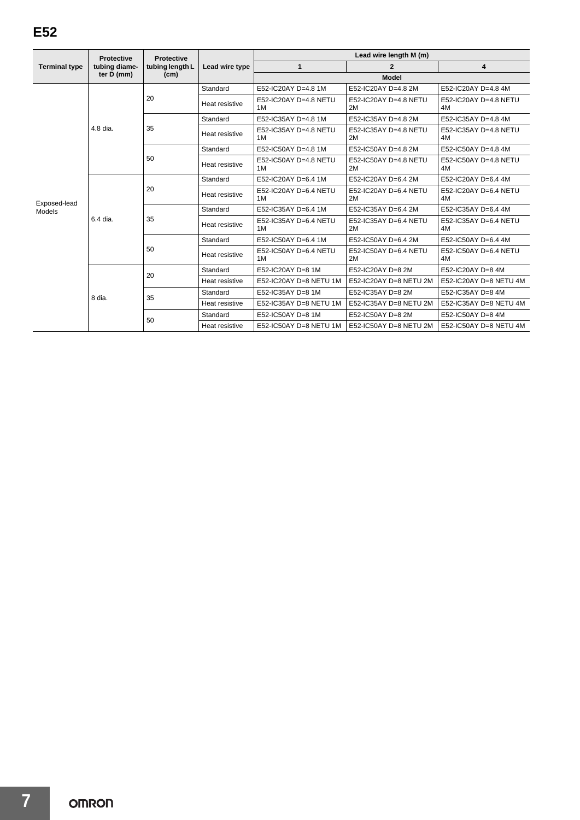|                      | <b>Protective</b> | <b>Protective</b><br>tubing length L | Lead wire type | Lead wire length M (m)      |                             |                             |
|----------------------|-------------------|--------------------------------------|----------------|-----------------------------|-----------------------------|-----------------------------|
| <b>Terminal type</b> | tubing diame-     |                                      |                | $\mathbf{1}$                | $\overline{2}$              | $\overline{\mathbf{4}}$     |
|                      | ter D (mm)        | (c <sub>m</sub> )                    |                |                             | <b>Model</b>                |                             |
|                      |                   |                                      | Standard       | E52-IC20AY D=4.8 1M         | E52-IC20AY D=4.8 2M         | E52-IC20AY D=4.8 4M         |
|                      |                   | 20                                   | Heat resistive | E52-IC20AY D=4.8 NETU<br>1M | E52-IC20AY D=4.8 NETU<br>2M | E52-IC20AY D=4.8 NETU<br>4M |
|                      |                   |                                      | Standard       | E52-IC35AY D=4.8 1M         | E52-IC35AY D=4.8 2M         | E52-IC35AY D=4.8 4M         |
|                      | 4.8 dia.          | 35                                   | Heat resistive | E52-IC35AY D=4.8 NETU<br>1M | E52-IC35AY D=4.8 NETU<br>2M | E52-IC35AY D=4.8 NETU<br>4M |
|                      |                   |                                      | Standard       | E52-IC50AY D=4.8 1M         | E52-IC50AY D=4.8 2M         | E52-IC50AY D=4.8 4M         |
|                      |                   | 50                                   | Heat resistive | E52-IC50AY D=4.8 NETU<br>1M | E52-IC50AY D=4.8 NETU<br>2M | E52-IC50AY D=4.8 NETU<br>4M |
|                      | 6.4 dia.          | 20                                   | Standard       | E52-IC20AY D=6.4 1M         | E52-IC20AY D=6.4 2M         | E52-IC20AY D=6.4 4M         |
| Exposed-lead         |                   |                                      | Heat resistive | E52-IC20AY D=6.4 NETU<br>1M | E52-IC20AY D=6.4 NETU<br>2M | E52-IC20AY D=6.4 NETU<br>4M |
| Models               |                   | 35                                   | Standard       | E52-IC35AY D=6.4 1M         | E52-IC35AY D=6.4 2M         | E52-IC35AY D=6.4 4M         |
|                      |                   |                                      | Heat resistive | E52-IC35AY D=6.4 NETU<br>1M | E52-IC35AY D=6.4 NETU<br>2M | E52-IC35AY D=6.4 NETU<br>4M |
|                      |                   | 50                                   | Standard       | E52-IC50AY D=6.4 1M         | E52-IC50AY D=6.4 2M         | E52-IC50AY D=6.4 4M         |
|                      |                   |                                      | Heat resistive | E52-IC50AY D=6.4 NETU<br>1M | E52-IC50AY D=6.4 NETU<br>2M | E52-IC50AY D=6.4 NETU<br>4M |
|                      |                   | 20                                   | Standard       | E52-IC20AY D=8 1M           | E52-IC20AY D=8 2M           | E52-IC20AY D=8 4M           |
|                      |                   |                                      | Heat resistive | E52-IC20AY D=8 NETU $1M$    | E52-IC20AY D=8 NETU 2M      | E52-IC20AY D=8 NETU 4M      |
|                      | 8 dia.            | 35                                   | Standard       | E52-IC35AY D=8 1M           | E52-IC35AY D=8 2M           | E52-IC35AY D=8 4M           |
|                      |                   |                                      | Heat resistive | E52-IC35AY D=8 NETU $1M$    | E52-IC35AY D=8 NETU 2M      | E52-IC35AY D=8 NETU 4M      |
|                      |                   |                                      | Standard       | E52-IC50AY D=8 1M           | E52-IC50AY D=8 2M           | E52-IC50AY D=8 4M           |
|                      |                   | 50                                   | Heat resistive | E52-IC50AY D=8 NETU $1M$    | E52-IC50AY D=8 NETU 2M      | E52-IC50AY D=8 NETU 4M      |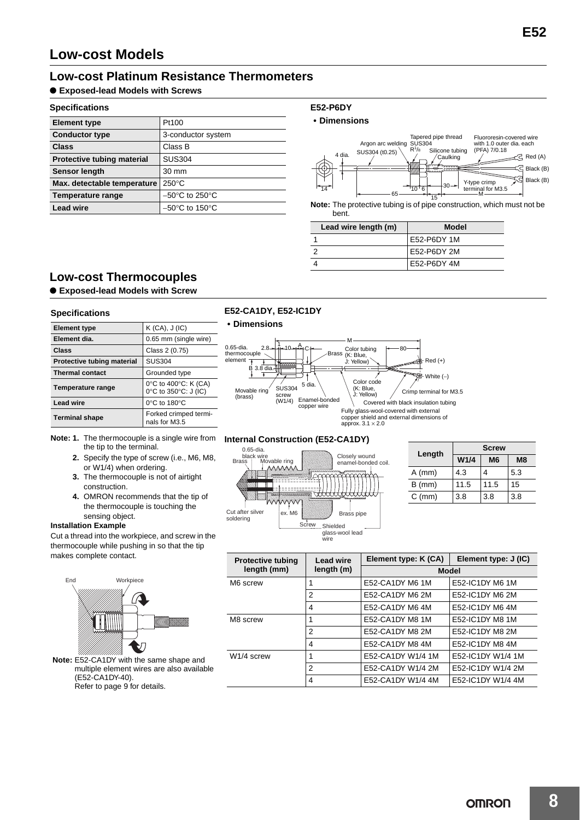# **Low-cost Models**

# **Low-cost Platinum Resistance Thermometers**

# ● **Exposed-lead Models with Screws**

#### **Specifications E52-P6DY**

| <b>Element type</b>               | Pt100                               |
|-----------------------------------|-------------------------------------|
| <b>Conductor type</b>             | 3-conductor system                  |
| Class                             | Class B                             |
| <b>Protective tubing material</b> | <b>SUS304</b>                       |
| <b>Sensor length</b>              | 30 mm                               |
| Max. detectable temperature       | $250^{\circ}$ C                     |
| Temperature range                 | $-50^{\circ}$ C to 250 $^{\circ}$ C |
| <b>Lead wire</b>                  | $-50^{\circ}$ C to 150 $^{\circ}$ C |

#### **• Dimensions**



**Note:** The protective tubing is of pipe construction, which must not be bent.

| E52-P6DY 1M |  |
|-------------|--|
|             |  |
| E52-P6DY 2M |  |
| E52-P6DY 4M |  |

# **Low-cost Thermocouples**

# ● **Exposed-lead Models with Screw**

#### **Specifications**

| <b>Element type</b>        | $K$ (CA), $J$ (IC)                                                |
|----------------------------|-------------------------------------------------------------------|
| Element dia.               | 0.65 mm (single wire)                                             |
| Class                      | Class 2 (0.75)                                                    |
| Protective tubing material | <b>SUS304</b>                                                     |
| <b>Thermal contact</b>     | Grounded type                                                     |
| Temperature range          | 0°C to 400°C: K (CA)<br>$0^{\circ}$ C to 350 $^{\circ}$ C: J (IC) |
| <b>Lead wire</b>           | $0^{\circ}$ C to 180 $^{\circ}$ C                                 |
| <b>Terminal shape</b>      | Forked crimped termi-<br>nals for M3.5                            |

# **E52-CA1DY, E52-IC1DY**

**• Dimensions**



## **Internal Construction (E52-CA1DY)**



|             | <b>Screw</b> |                |     |  |  |
|-------------|--------------|----------------|-----|--|--|
| Length      | W1/4         | M <sub>6</sub> | M8  |  |  |
| $A$ (mm)    | 4.3          | 4              | 5.3 |  |  |
| $B$ (mm)    | 11.5         | 11.5           | 15  |  |  |
| $C \, (mm)$ | 3.8          | 3.8            | 3.8 |  |  |

| <b>Protective tubing</b> | Lead wire  | Element type: K (CA) | Element type: J (IC) |  |  |
|--------------------------|------------|----------------------|----------------------|--|--|
| length (mm)              | length (m) | <b>Model</b>         |                      |  |  |
| M6 screw                 |            | E52-CA1DY M6 1M      | E52-IC1DY M6 1M      |  |  |
|                          | 2          | E52-CA1DY M6 2M      | E52-IC1DY M6 2M      |  |  |
|                          | 4          | E52-CA1DY M6 4M      | E52-IC1DY M6 4M      |  |  |
| M8 screw                 |            | F52-CA1DY M8 1M      | F52-IC1DY M8 1M      |  |  |
|                          | 2          | F52-CA1DY M8.2M      | E52-IC1DY M8 2M      |  |  |
|                          | 4          | F52-CA1DY M8 4M      | F52-IC1DY M8 4M      |  |  |
| W1/4 screw               | 1          | E52-CA1DY W1/4 1M    | E52-IC1DY W1/4 1M    |  |  |
|                          | 2          | E52-CA1DY W1/4 2M    | E52-IC1DY W1/4 2M    |  |  |
|                          | 4          | E52-CA1DY W1/4 4M    | E52-IC1DY W1/4 4M    |  |  |

**Note: 1.** The thermocouple is a single wire from the tip to the terminal. **2.** Specify the type of screw (i.e., M6, M8,

- or W1/4) when ordering. **3.** The thermocouple is not of airtight
- construction.
- **4.** OMRON recommends that the tip of the thermocouple is touching the sensing object.

### **Installation Example**

Cut a thread into the workpiece, and screw in the thermocouple while pushing in so that the tip makes complete contact.



**Note:** E52-CA1DY with the same shape and multiple element wires are also available (E52-CA1DY-40). Refer to page 9 for details.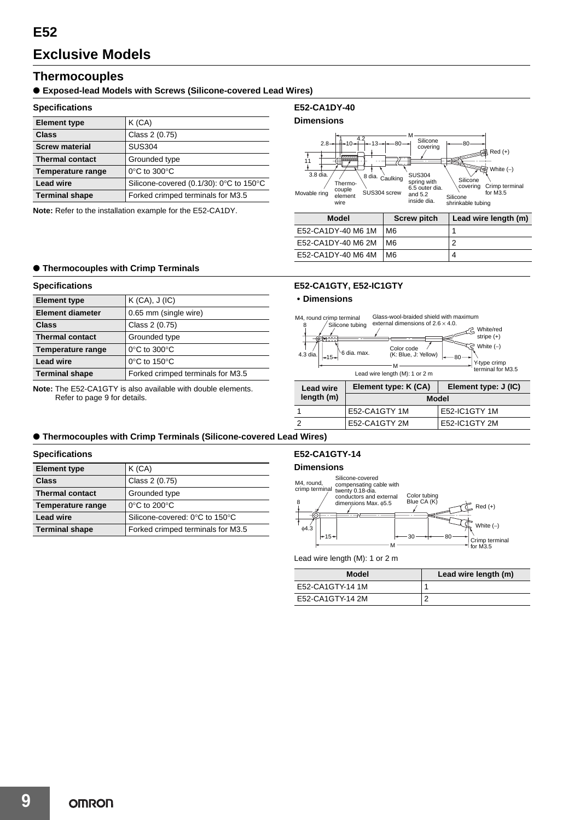# **Exclusive Models**

# **Thermocouples**

# ● **Exposed-lead Models with Screws (Silicone-covered Lead Wires)**

#### **Specifications**

| <b>Element type</b>    | $K$ (CA)                                |
|------------------------|-----------------------------------------|
| <b>Class</b>           | Class 2 (0.75)                          |
| <b>Screw material</b>  | <b>SUS304</b>                           |
| <b>Thermal contact</b> | Grounded type                           |
| Temperature range      | $0^{\circ}$ C to 300 $^{\circ}$ C       |
| <b>Lead wire</b>       | Silicone-covered (0.1/30): 0°C to 150°C |
| <b>Terminal shape</b>  | Forked crimped terminals for M3.5       |

**Note:** Refer to the installation example for the E52-CA1DY.

# **E52-CA1DY-40**

#### **Dimensions**



| Model              | <b>Screw pitch</b> | Lead wire length (m) |
|--------------------|--------------------|----------------------|
| E52-CA1DY-40 M6 1M | M6                 |                      |
| E52-CA1DY-40 M6 2M | M6.                | ◠                    |
| E52-CA1DY-40 M6 4M | M6.                | 4                    |

#### ● **Thermocouples with Crimp Terminals**

#### **Specifications**

| <b>Element type</b>     | $K$ (CA), J (IC)                  |
|-------------------------|-----------------------------------|
| <b>Element diameter</b> | 0.65 mm (single wire)             |
| <b>Class</b>            | Class 2 (0.75)                    |
| <b>Thermal contact</b>  | Grounded type                     |
| Temperature range       | $0^{\circ}$ C to 300 $^{\circ}$ C |
| <b>Lead wire</b>        | $0^{\circ}$ C to 150 $^{\circ}$ C |
| <b>Terminal shape</b>   | Forked crimped terminals for M3.5 |

**Note:** The E52-CA1GTY is also available with double elements. Refer to page 9 for details.

# **E52-CA1GTY, E52-IC1GTY**

#### **• Dimensions**



## ● **Thermocouples with Crimp Terminals (Silicone-covered Lead Wires)**

| <b>Element type</b>    | $K$ (CA)                          |
|------------------------|-----------------------------------|
| <b>Class</b>           | Class 2 (0.75)                    |
| <b>Thermal contact</b> | Grounded type                     |
| Temperature range      | $0^{\circ}$ C to 200 $^{\circ}$ C |
| <b>Lead wire</b>       | Silicone-covered: 0°C to 150°C    |
| <b>Terminal shape</b>  | Forked crimped terminals for M3.5 |

#### **Specifications E52-CA1GTY-14**

#### **Dimensions**



Lead wire length (M): 1 or 2 m

| <b>Model</b>     | Lead wire length (m) |
|------------------|----------------------|
| E52-CA1GTY-14 1M |                      |
| E52-CA1GTY-14 2M |                      |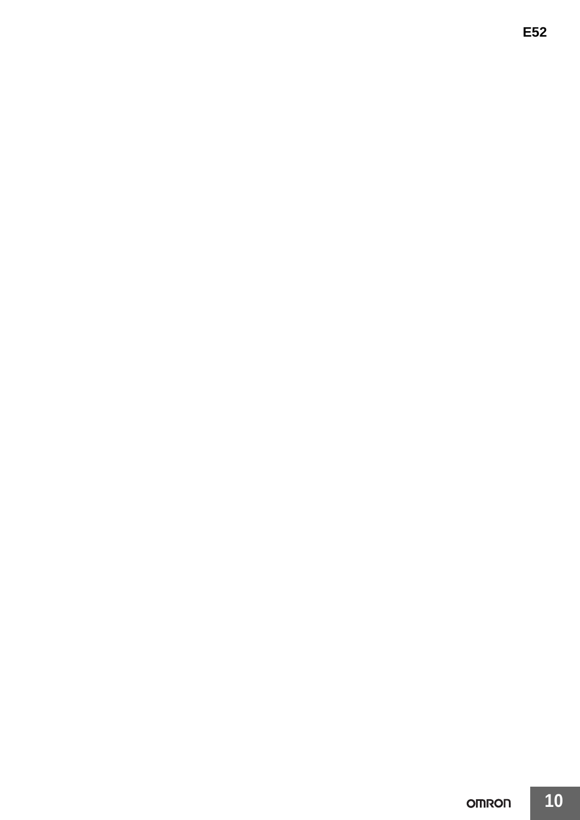**E52**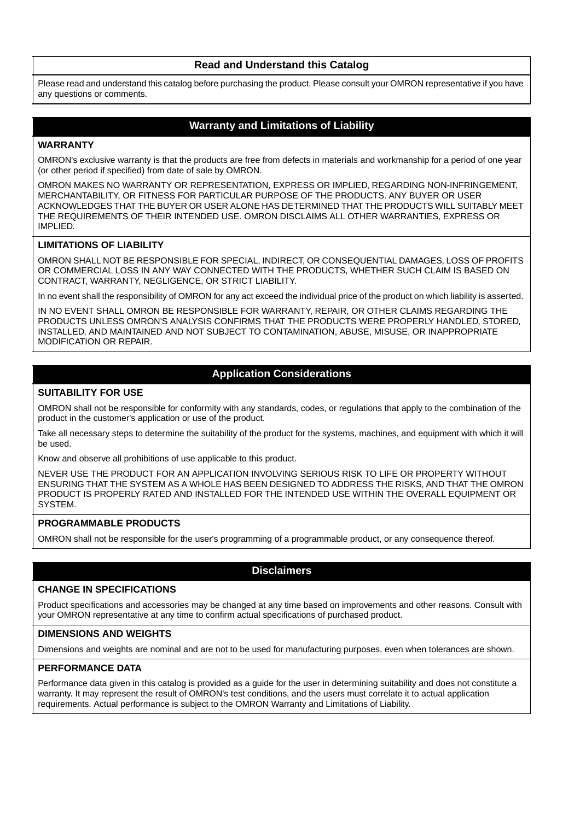# **Read and Understand this Catalog**

Please read and understand this catalog before purchasing the product. Please consult your OMRON representative if you have any questions or comments.

# **Warranty and Limitations of Liability**

# **WARRANTY**

OMRON's exclusive warranty is that the products are free from defects in materials and workmanship for a period of one year (or other period if specified) from date of sale by OMRON.

OMRON MAKES NO WARRANTY OR REPRESENTATION, EXPRESS OR IMPLIED, REGARDING NON-INFRINGEMENT, MERCHANTABILITY, OR FITNESS FOR PARTICULAR PURPOSE OF THE PRODUCTS. ANY BUYER OR USER ACKNOWLEDGES THAT THE BUYER OR USER ALONE HAS DETERMINED THAT THE PRODUCTS WILL SUITABLY MEET THE REQUIREMENTS OF THEIR INTENDED USE. OMRON DISCLAIMS ALL OTHER WARRANTIES, EXPRESS OR IMPLIED.

### **LIMITATIONS OF LIABILITY**

OMRON SHALL NOT BE RESPONSIBLE FOR SPECIAL, INDIRECT, OR CONSEQUENTIAL DAMAGES, LOSS OF PROFITS OR COMMERCIAL LOSS IN ANY WAY CONNECTED WITH THE PRODUCTS, WHETHER SUCH CLAIM IS BASED ON CONTRACT, WARRANTY, NEGLIGENCE, OR STRICT LIABILITY.

In no event shall the responsibility of OMRON for any act exceed the individual price of the product on which liability is asserted.

IN NO EVENT SHALL OMRON BE RESPONSIBLE FOR WARRANTY, REPAIR, OR OTHER CLAIMS REGARDING THE PRODUCTS UNLESS OMRON'S ANALYSIS CONFIRMS THAT THE PRODUCTS WERE PROPERLY HANDLED, STORED, INSTALLED, AND MAINTAINED AND NOT SUBJECT TO CONTAMINATION, ABUSE, MISUSE, OR INAPPROPRIATE MODIFICATION OR REPAIR.

# **Application Considerations**

## **SUITABILITY FOR USE**

OMRON shall not be responsible for conformity with any standards, codes, or regulations that apply to the combination of the product in the customer's application or use of the product.

Take all necessary steps to determine the suitability of the product for the systems, machines, and equipment with which it will be used.

Know and observe all prohibitions of use applicable to this product.

NEVER USE THE PRODUCT FOR AN APPLICATION INVOLVING SERIOUS RISK TO LIFE OR PROPERTY WITHOUT ENSURING THAT THE SYSTEM AS A WHOLE HAS BEEN DESIGNED TO ADDRESS THE RISKS, AND THAT THE OMRON PRODUCT IS PROPERLY RATED AND INSTALLED FOR THE INTENDED USE WITHIN THE OVERALL EQUIPMENT OR **SYSTEM** 

## **PROGRAMMABLE PRODUCTS**

OMRON shall not be responsible for the user's programming of a programmable product, or any consequence thereof.

# **Disclaimers**

### **CHANGE IN SPECIFICATIONS**

Product specifications and accessories may be changed at any time based on improvements and other reasons. Consult with your OMRON representative at any time to confirm actual specifications of purchased product.

## **DIMENSIONS AND WEIGHTS**

Dimensions and weights are nominal and are not to be used for manufacturing purposes, even when tolerances are shown.

## **PERFORMANCE DATA**

Performance data given in this catalog is provided as a guide for the user in determining suitability and does not constitute a warranty. It may represent the result of OMRON's test conditions, and the users must correlate it to actual application requirements. Actual performance is subject to the OMRON Warranty and Limitations of Liability.